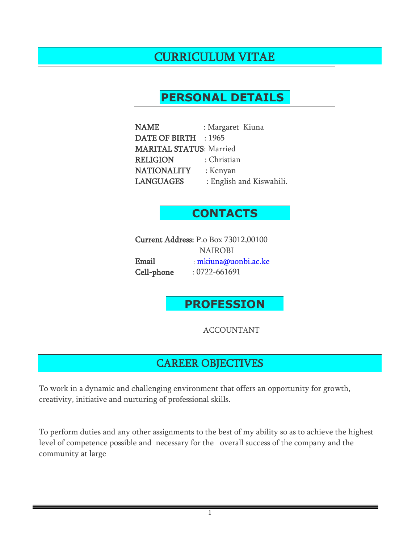# CURRICULUM VITAE

# **PERSONAL DETAILS**

| <b>NAME</b>                    | : Margaret Kiuna         |
|--------------------------------|--------------------------|
| <b>DATE OF BIRTH</b>           | : 1965                   |
| <b>MARITAL STATUS: Married</b> |                          |
| <b>RELIGION</b>                | : Christian              |
| <b>NATIONALITY</b>             | : Kenyan                 |
| <b>LANGUAGES</b>               | : English and Kiswahili. |

## **CONTACTS**

Current Address: P.o Box 73012,00100 NAIROBI Email : mkiuna@uonbi.ac.ke Cell-phone : 0722-661691

# **PROFESSION**

ACCOUNTANT

# CAREER OBJECTIVES

To work in a dynamic and challenging environment that offers an opportunity for growth, creativity, initiative and nurturing of professional skills.

To perform duties and any other assignments to the best of my ability so as to achieve the highest level of competence possible and necessary for the overall success of the company and the community at large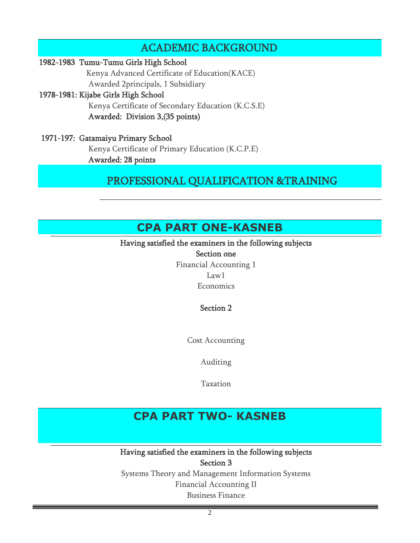## ACADEMIC BACKGROUND

#### 1982-1983 Tumu-Tumu Girls High School

 Kenya Advanced Certificate of Education(KACE) Awarded 2principals, 1 Subsidiary

#### 1978-1981: Kijabe Girls High School

 Kenya Certificate of Secondary Education (K.C.S.E) Awarded: Division 3,(35 points)

#### 1971-197: Gatamaiyu Primary School Kenya Certificate of Primary Education (K.C.P.E) Awarded: 28 points

## PROFESSIONAL QUALIFICATION &TRAINING

# **CPA PART ONE-KASNEB**

### Having satisfied the examiners in the following subjects

Section one Financial Accounting 1 Law1 Economics

### Section 2

Cost Accounting

Auditing

Taxation

# **CPA PART TWO- KASNEB**

Having satisfied the examiners in the following subjects Section 3

Systems Theory and Management Information Systems Financial Accounting II Business Finance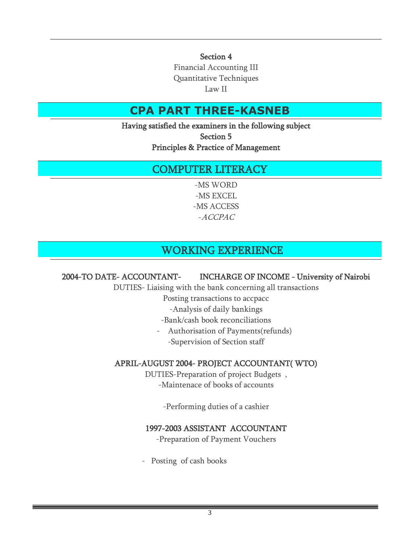Section 4

Financial Accounting III Quantitative Techniques Law II

# **CPA PART THREE-KASNEB**

Having satisfied the examiners in the following subject Section 5 Principles & Practice of Management

# COMPUTER LITERACY

-MS WORD -MS EXCEL -MS ACCESS -ACCPAC

# WORKING EXPERIENCE

### 2004-TO DATE- ACCOUNTANT- INCHARGE OF INCOME - University of Nairobi

DUTIES- Liaising with the bank concerning all transactions

Posting transactions to accpacc

- -Analysis of daily bankings
- -Bank/cash book reconciliations
- Authorisation of Payments(refunds) -Supervision of Section staff

### APRIL-AUGUST 2004- PROJECT ACCOUNTANT( WTO)

DUTIES-Preparation of project Budgets , -Maintenace of books of accounts

-Performing duties of a cashier

### 1997-2003 ASSISTANT ACCOUNTANT

-Preparation of Payment Vouchers

- Posting of cash books